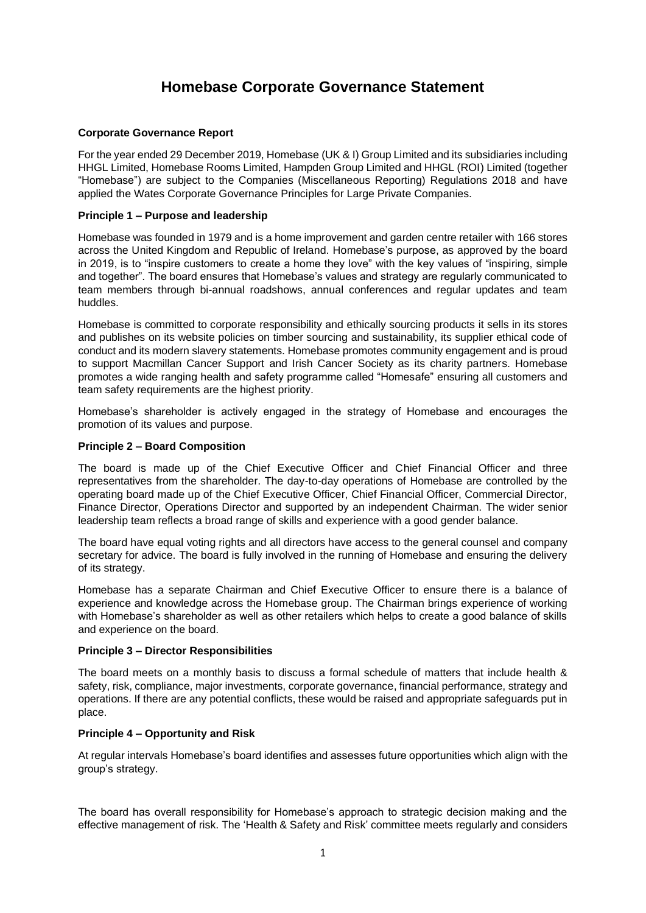# **Homebase Corporate Governance Statement**

# **Corporate Governance Report**

For the year ended 29 December 2019, Homebase (UK & I) Group Limited and its subsidiaries including HHGL Limited, Homebase Rooms Limited, Hampden Group Limited and HHGL (ROI) Limited (together "Homebase") are subject to the Companies (Miscellaneous Reporting) Regulations 2018 and have applied the Wates Corporate Governance Principles for Large Private Companies.

# **Principle 1 – Purpose and leadership**

Homebase was founded in 1979 and is a home improvement and garden centre retailer with 166 stores across the United Kingdom and Republic of Ireland. Homebase's purpose, as approved by the board in 2019, is to "inspire customers to create a home they love" with the key values of "inspiring, simple and together". The board ensures that Homebase's values and strategy are regularly communicated to team members through bi-annual roadshows, annual conferences and regular updates and team huddles.

Homebase is committed to corporate responsibility and ethically sourcing products it sells in its stores and publishes on its website policies on timber sourcing and sustainability, its supplier ethical code of conduct and its modern slavery statements. Homebase promotes community engagement and is proud to support Macmillan Cancer Support and Irish Cancer Society as its charity partners. Homebase promotes a wide ranging health and safety programme called "Homesafe" ensuring all customers and team safety requirements are the highest priority.

Homebase's shareholder is actively engaged in the strategy of Homebase and encourages the promotion of its values and purpose.

# **Principle 2 – Board Composition**

The board is made up of the Chief Executive Officer and Chief Financial Officer and three representatives from the shareholder. The day-to-day operations of Homebase are controlled by the operating board made up of the Chief Executive Officer, Chief Financial Officer, Commercial Director, Finance Director, Operations Director and supported by an independent Chairman. The wider senior leadership team reflects a broad range of skills and experience with a good gender balance.

The board have equal voting rights and all directors have access to the general counsel and company secretary for advice. The board is fully involved in the running of Homebase and ensuring the delivery of its strategy.

Homebase has a separate Chairman and Chief Executive Officer to ensure there is a balance of experience and knowledge across the Homebase group. The Chairman brings experience of working with Homebase's shareholder as well as other retailers which helps to create a good balance of skills and experience on the board.

# **Principle 3 – Director Responsibilities**

The board meets on a monthly basis to discuss a formal schedule of matters that include health & safety, risk, compliance, major investments, corporate governance, financial performance, strategy and operations. If there are any potential conflicts, these would be raised and appropriate safeguards put in place.

# **Principle 4 – Opportunity and Risk**

At regular intervals Homebase's board identifies and assesses future opportunities which align with the group's strategy.

The board has overall responsibility for Homebase's approach to strategic decision making and the effective management of risk. The 'Health & Safety and Risk' committee meets regularly and considers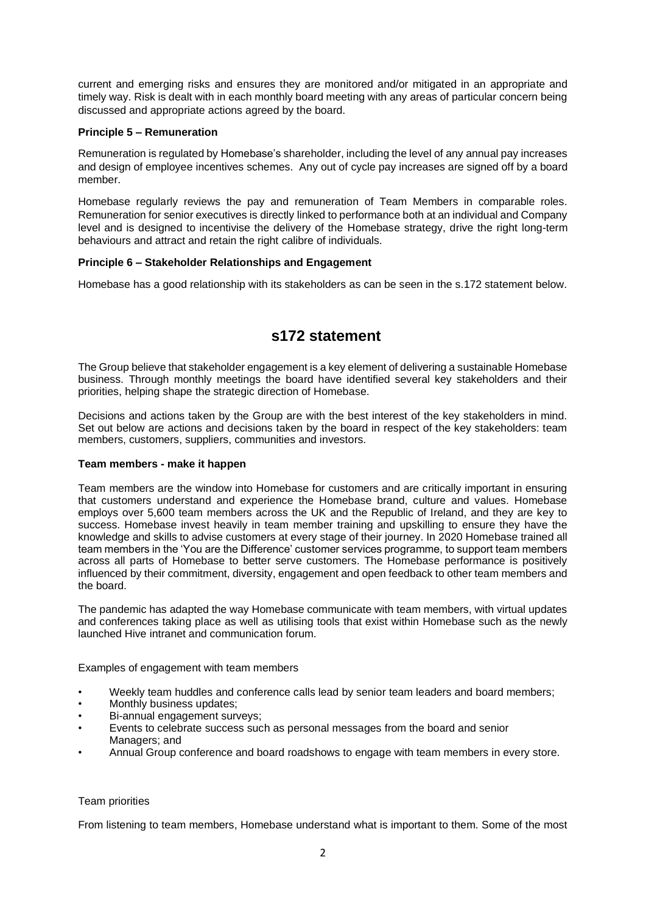current and emerging risks and ensures they are monitored and/or mitigated in an appropriate and timely way. Risk is dealt with in each monthly board meeting with any areas of particular concern being discussed and appropriate actions agreed by the board.

## **Principle 5 – Remuneration**

Remuneration is regulated by Homebase's shareholder, including the level of any annual pay increases and design of employee incentives schemes. Any out of cycle pay increases are signed off by a board member.

Homebase regularly reviews the pay and remuneration of Team Members in comparable roles. Remuneration for senior executives is directly linked to performance both at an individual and Company level and is designed to incentivise the delivery of the Homebase strategy, drive the right long-term behaviours and attract and retain the right calibre of individuals.

# **Principle 6 – Stakeholder Relationships and Engagement**

Homebase has a good relationship with its stakeholders as can be seen in the s.172 statement below.

# **s172 statement**

The Group believe that stakeholder engagement is a key element of delivering a sustainable Homebase business. Through monthly meetings the board have identified several key stakeholders and their priorities, helping shape the strategic direction of Homebase.

Decisions and actions taken by the Group are with the best interest of the key stakeholders in mind. Set out below are actions and decisions taken by the board in respect of the key stakeholders: team members, customers, suppliers, communities and investors.

## **Team members - make it happen**

Team members are the window into Homebase for customers and are critically important in ensuring that customers understand and experience the Homebase brand, culture and values. Homebase employs over 5,600 team members across the UK and the Republic of Ireland, and they are key to success. Homebase invest heavily in team member training and upskilling to ensure they have the knowledge and skills to advise customers at every stage of their journey. In 2020 Homebase trained all team members in the 'You are the Difference' customer services programme, to support team members across all parts of Homebase to better serve customers. The Homebase performance is positively influenced by their commitment, diversity, engagement and open feedback to other team members and the board.

The pandemic has adapted the way Homebase communicate with team members, with virtual updates and conferences taking place as well as utilising tools that exist within Homebase such as the newly launched Hive intranet and communication forum.

Examples of engagement with team members

- Weekly team huddles and conference calls lead by senior team leaders and board members;
- Monthly business updates;
- Bi-annual engagement surveys;
- Events to celebrate success such as personal messages from the board and senior Managers; and
- Annual Group conference and board roadshows to engage with team members in every store.

# Team priorities

From listening to team members, Homebase understand what is important to them. Some of the most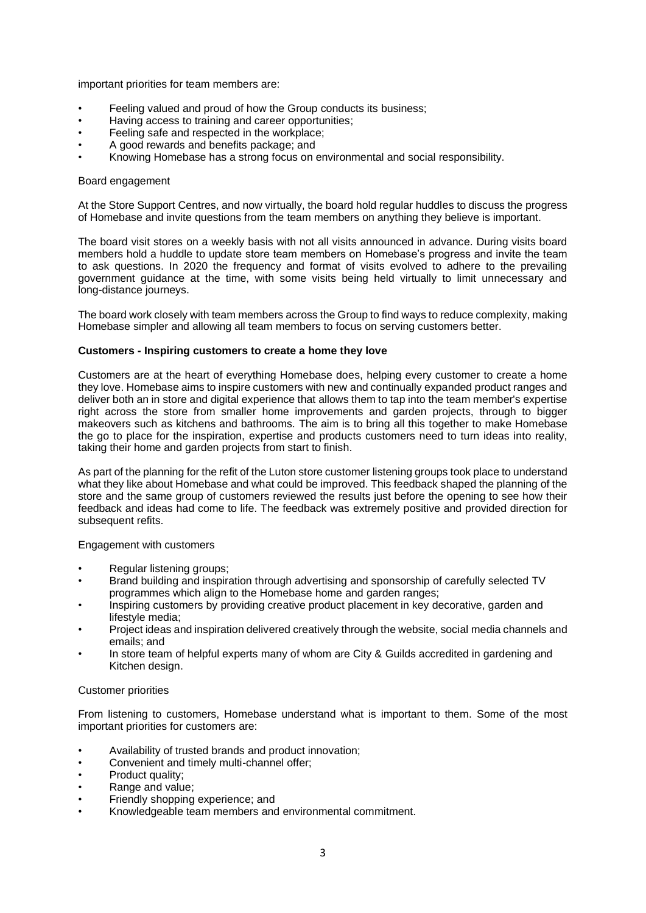important priorities for team members are:

- Feeling valued and proud of how the Group conducts its business;
- Having access to training and career opportunities;
- Feeling safe and respected in the workplace;
- A good rewards and benefits package; and
- Knowing Homebase has a strong focus on environmental and social responsibility.

## Board engagement

At the Store Support Centres, and now virtually, the board hold regular huddles to discuss the progress of Homebase and invite questions from the team members on anything they believe is important.

The board visit stores on a weekly basis with not all visits announced in advance. During visits board members hold a huddle to update store team members on Homebase's progress and invite the team to ask questions. In 2020 the frequency and format of visits evolved to adhere to the prevailing government guidance at the time, with some visits being held virtually to limit unnecessary and long-distance journeys.

The board work closely with team members across the Group to find ways to reduce complexity, making Homebase simpler and allowing all team members to focus on serving customers better.

## **Customers - Inspiring customers to create a home they love**

Customers are at the heart of everything Homebase does, helping every customer to create a home they love. Homebase aims to inspire customers with new and continually expanded product ranges and deliver both an in store and digital experience that allows them to tap into the team member's expertise right across the store from smaller home improvements and garden projects, through to bigger makeovers such as kitchens and bathrooms. The aim is to bring all this together to make Homebase the go to place for the inspiration, expertise and products customers need to turn ideas into reality, taking their home and garden projects from start to finish.

As part of the planning for the refit of the Luton store customer listening groups took place to understand what they like about Homebase and what could be improved. This feedback shaped the planning of the store and the same group of customers reviewed the results just before the opening to see how their feedback and ideas had come to life. The feedback was extremely positive and provided direction for subsequent refits.

## Engagement with customers

- Regular listening groups;
- Brand building and inspiration through advertising and sponsorship of carefully selected TV programmes which align to the Homebase home and garden ranges;
- Inspiring customers by providing creative product placement in key decorative, garden and lifestyle media;
- Project ideas and inspiration delivered creatively through the website, social media channels and emails; and
- In store team of helpful experts many of whom are City & Guilds accredited in gardening and Kitchen design.

## Customer priorities

From listening to customers, Homebase understand what is important to them. Some of the most important priorities for customers are:

- Availability of trusted brands and product innovation;
- Convenient and timely multi-channel offer;
- Product quality;
- Range and value;
- Friendly shopping experience; and
- Knowledgeable team members and environmental commitment.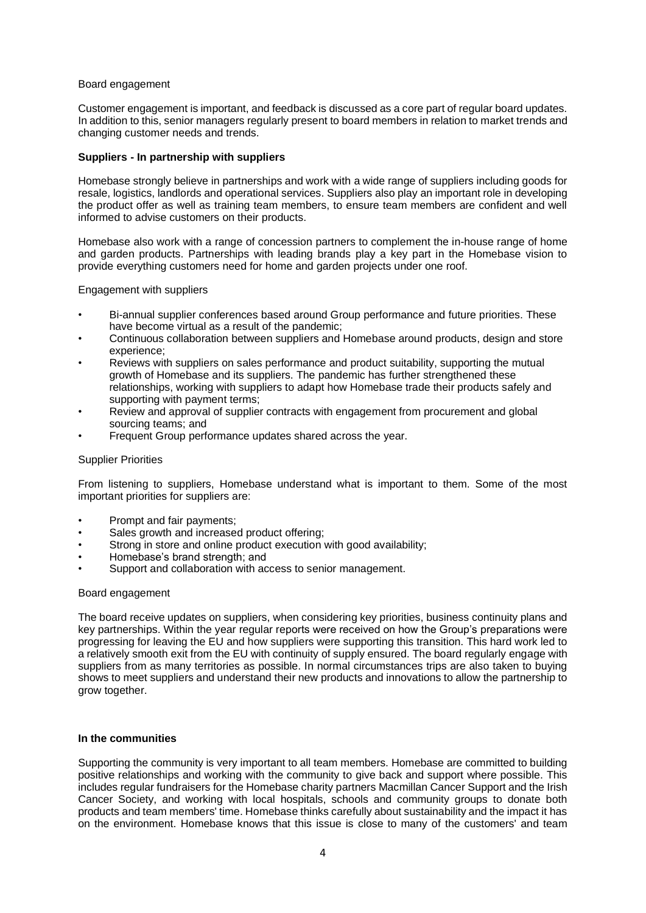## Board engagement

Customer engagement is important, and feedback is discussed as a core part of regular board updates. In addition to this, senior managers regularly present to board members in relation to market trends and changing customer needs and trends.

## **Suppliers - In partnership with suppliers**

Homebase strongly believe in partnerships and work with a wide range of suppliers including goods for resale, logistics, landlords and operational services. Suppliers also play an important role in developing the product offer as well as training team members, to ensure team members are confident and well informed to advise customers on their products.

Homebase also work with a range of concession partners to complement the in-house range of home and garden products. Partnerships with leading brands play a key part in the Homebase vision to provide everything customers need for home and garden projects under one roof.

Engagement with suppliers

- Bi-annual supplier conferences based around Group performance and future priorities. These have become virtual as a result of the pandemic;
- Continuous collaboration between suppliers and Homebase around products, design and store experience;
- Reviews with suppliers on sales performance and product suitability, supporting the mutual growth of Homebase and its suppliers. The pandemic has further strengthened these relationships, working with suppliers to adapt how Homebase trade their products safely and supporting with payment terms;
- Review and approval of supplier contracts with engagement from procurement and global sourcing teams; and
- Frequent Group performance updates shared across the year.

#### Supplier Priorities

From listening to suppliers, Homebase understand what is important to them. Some of the most important priorities for suppliers are:

- Prompt and fair payments;
- Sales growth and increased product offering;
- Strong in store and online product execution with good availability;
- Homebase's brand strength; and
- Support and collaboration with access to senior management.

## Board engagement

The board receive updates on suppliers, when considering key priorities, business continuity plans and key partnerships. Within the year regular reports were received on how the Group's preparations were progressing for leaving the EU and how suppliers were supporting this transition. This hard work led to a relatively smooth exit from the EU with continuity of supply ensured. The board regularly engage with suppliers from as many territories as possible. In normal circumstances trips are also taken to buying shows to meet suppliers and understand their new products and innovations to allow the partnership to grow together.

#### **In the communities**

Supporting the community is very important to all team members. Homebase are committed to building positive relationships and working with the community to give back and support where possible. This includes regular fundraisers for the Homebase charity partners Macmillan Cancer Support and the Irish Cancer Society, and working with local hospitals, schools and community groups to donate both products and team members' time. Homebase thinks carefully about sustainability and the impact it has on the environment. Homebase knows that this issue is close to many of the customers' and team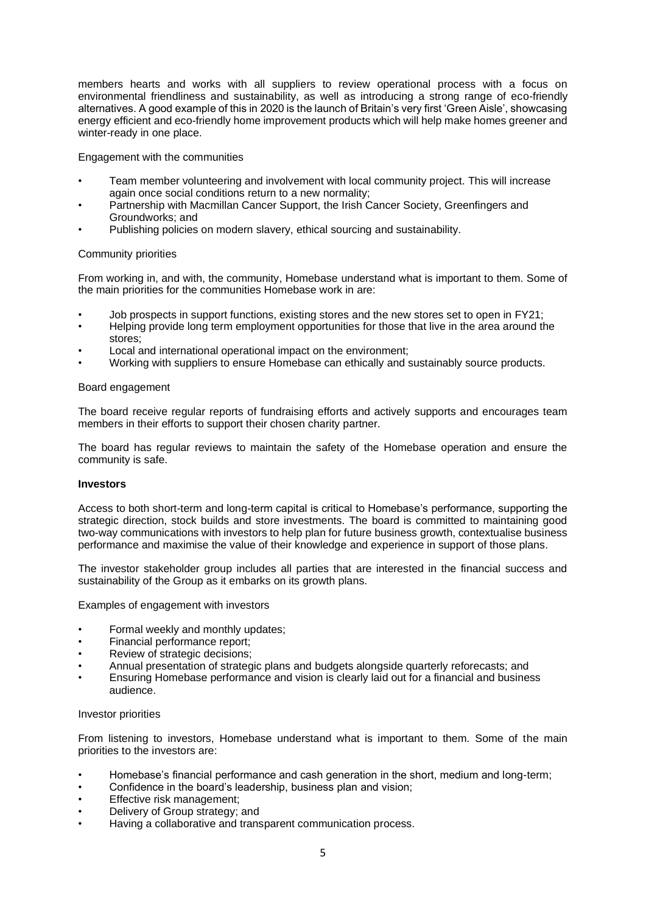members hearts and works with all suppliers to review operational process with a focus on environmental friendliness and sustainability, as well as introducing a strong range of eco-friendly alternatives. A good example of this in 2020 is the launch of Britain's very first 'Green Aisle', showcasing energy efficient and eco-friendly home improvement products which will help make homes greener and winter-ready in one place.

Engagement with the communities

- Team member volunteering and involvement with local community project. This will increase again once social conditions return to a new normality;
- Partnership with Macmillan Cancer Support, the Irish Cancer Society, Greenfingers and Groundworks; and
- Publishing policies on modern slavery, ethical sourcing and sustainability.

## Community priorities

From working in, and with, the community, Homebase understand what is important to them. Some of the main priorities for the communities Homebase work in are:

- Job prospects in support functions, existing stores and the new stores set to open in FY21;
- Helping provide long term employment opportunities for those that live in the area around the stores;
- Local and international operational impact on the environment;
- Working with suppliers to ensure Homebase can ethically and sustainably source products.

## Board engagement

The board receive regular reports of fundraising efforts and actively supports and encourages team members in their efforts to support their chosen charity partner.

The board has regular reviews to maintain the safety of the Homebase operation and ensure the community is safe.

## **Investors**

Access to both short-term and long-term capital is critical to Homebase's performance, supporting the strategic direction, stock builds and store investments. The board is committed to maintaining good two-way communications with investors to help plan for future business growth, contextualise business performance and maximise the value of their knowledge and experience in support of those plans.

The investor stakeholder group includes all parties that are interested in the financial success and sustainability of the Group as it embarks on its growth plans.

Examples of engagement with investors

- Formal weekly and monthly updates;
- Financial performance report;
- Review of strategic decisions;
- Annual presentation of strategic plans and budgets alongside quarterly reforecasts; and
- Ensuring Homebase performance and vision is clearly laid out for a financial and business audience.

#### Investor priorities

From listening to investors, Homebase understand what is important to them. Some of the main priorities to the investors are:

- Homebase's financial performance and cash generation in the short, medium and long-term;
- Confidence in the board's leadership, business plan and vision;
- Effective risk management;
- Delivery of Group strategy; and
- Having a collaborative and transparent communication process.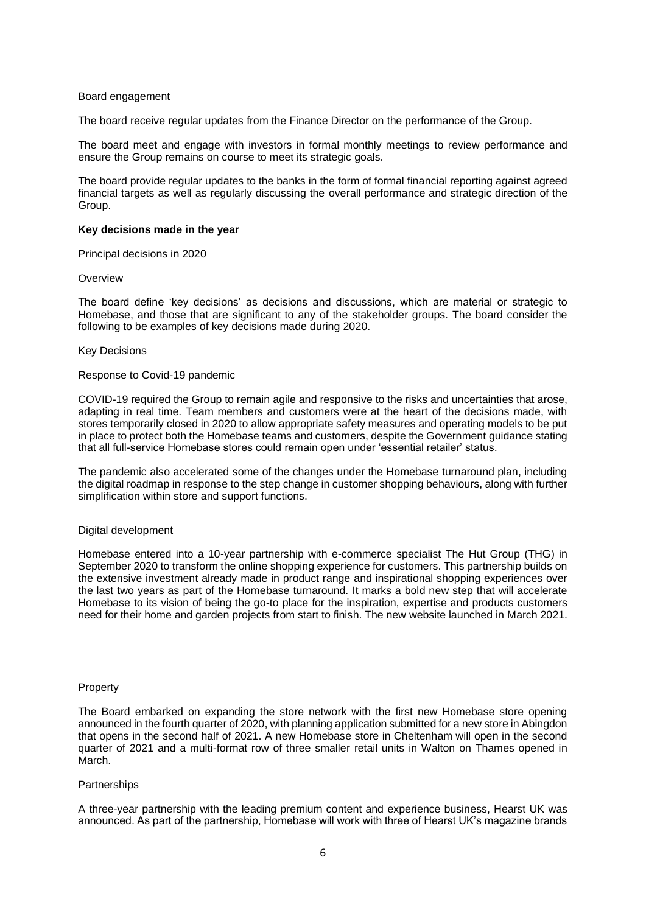#### Board engagement

The board receive regular updates from the Finance Director on the performance of the Group.

The board meet and engage with investors in formal monthly meetings to review performance and ensure the Group remains on course to meet its strategic goals.

The board provide regular updates to the banks in the form of formal financial reporting against agreed financial targets as well as regularly discussing the overall performance and strategic direction of the Group.

#### **Key decisions made in the year**

Principal decisions in 2020

#### **Overview**

The board define 'key decisions' as decisions and discussions, which are material or strategic to Homebase, and those that are significant to any of the stakeholder groups. The board consider the following to be examples of key decisions made during 2020.

#### Key Decisions

#### Response to Covid-19 pandemic

COVID-19 required the Group to remain agile and responsive to the risks and uncertainties that arose, adapting in real time. Team members and customers were at the heart of the decisions made, with stores temporarily closed in 2020 to allow appropriate safety measures and operating models to be put in place to protect both the Homebase teams and customers, despite the Government guidance stating that all full-service Homebase stores could remain open under 'essential retailer' status.

The pandemic also accelerated some of the changes under the Homebase turnaround plan, including the digital roadmap in response to the step change in customer shopping behaviours, along with further simplification within store and support functions.

#### Digital development

Homebase entered into a 10-year partnership with e-commerce specialist The Hut Group (THG) in September 2020 to transform the online shopping experience for customers. This partnership builds on the extensive investment already made in product range and inspirational shopping experiences over the last two years as part of the Homebase turnaround. It marks a bold new step that will accelerate Homebase to its vision of being the go-to place for the inspiration, expertise and products customers need for their home and garden projects from start to finish. The new website launched in March 2021.

#### Property

The Board embarked on expanding the store network with the first new Homebase store opening announced in the fourth quarter of 2020, with planning application submitted for a new store in Abingdon that opens in the second half of 2021. A new Homebase store in Cheltenham will open in the second quarter of 2021 and a multi-format row of three smaller retail units in Walton on Thames opened in March.

#### **Partnerships**

A three-year partnership with the leading premium content and experience business, Hearst UK was announced. As part of the partnership, Homebase will work with three of Hearst UK's magazine brands